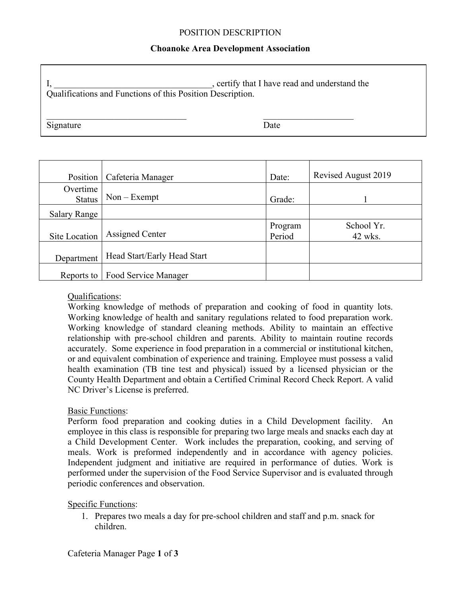# POSITION DESCRIPTION

### **Choanoke Area Development Association**

I, certify that I have read and understand the Qualifications and Functions of this Position Description.

Signature Date

| Position                  | Cafeteria Manager           | Date:             | Revised August 2019   |
|---------------------------|-----------------------------|-------------------|-----------------------|
| Overtime<br><b>Status</b> | $Non - Exempt$              | Grade:            |                       |
| <b>Salary Range</b>       |                             |                   |                       |
| Site Location             | <b>Assigned Center</b>      | Program<br>Period | School Yr.<br>42 wks. |
| Department                | Head Start/Early Head Start |                   |                       |
| Reports to                | <b>Food Service Manager</b> |                   |                       |

### Qualifications:

Working knowledge of methods of preparation and cooking of food in quantity lots. Working knowledge of health and sanitary regulations related to food preparation work. Working knowledge of standard cleaning methods. Ability to maintain an effective relationship with pre-school children and parents. Ability to maintain routine records accurately. Some experience in food preparation in a commercial or institutional kitchen, or and equivalent combination of experience and training. Employee must possess a valid health examination (TB tine test and physical) issued by a licensed physician or the County Health Department and obtain a Certified Criminal Record Check Report. A valid NC Driver's License is preferred.

# Basic Functions:

Perform food preparation and cooking duties in a Child Development facility. An employee in this class is responsible for preparing two large meals and snacks each day at a Child Development Center. Work includes the preparation, cooking, and serving of meals. Work is preformed independently and in accordance with agency policies. Independent judgment and initiative are required in performance of duties. Work is performed under the supervision of the Food Service Supervisor and is evaluated through periodic conferences and observation.

Specific Functions:

1. Prepares two meals a day for pre-school children and staff and p.m. snack for children.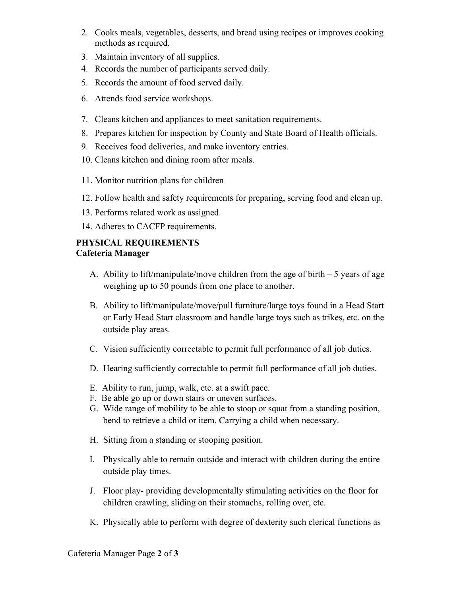- 2. Cooks meals, vegetables, desserts, and bread using recipes or improves cooking methods as required.
- 3. Maintain inventory of all supplies.
- 4. Records the number of participants served daily.
- 5. Records the amount of food served daily.
- 6. Attends food service workshops.
- 7. Cleans kitchen and appliances to meet sanitation requirements.
- 8. Prepares kitchen for inspection by County and State Board of Health officials.
- 9. Receives food deliveries, and make inventory entries.
- 10. Cleans kitchen and dining room after meals.
- 11. Monitor nutrition plans for children
- 12. Follow health and safety requirements for preparing, serving food and clean up.
- 13. Performs related work as assigned.
- 14. Adheres to CACFP requirements.

# **PHYSICAL REQUIREMENTS Cafeteria Manager**

- A. Ability to lift/manipulate/move children from the age of birth 5 years of age weighing up to 50 pounds from one place to another.
- B. Ability to lift/manipulate/move/pull furniture/large toys found in a Head Start or Early Head Start classroom and handle large toys such as trikes, etc. on the outside play areas.
- C. Vision sufficiently correctable to permit full performance of all job duties.
- D. Hearing sufficiently correctable to permit full performance of all job duties.
- E. Ability to run, jump, walk, etc. at a swift pace.
- F. Be able go up or down stairs or uneven surfaces.
- G. Wide range of mobility to be able to stoop or squat from a standing position, bend to retrieve a child or item. Carrying a child when necessary.
- H. Sitting from a standing or stooping position.
- I. Physically able to remain outside and interact with children during the entire outside play times.
- J. Floor play- providing developmentally stimulating activities on the floor for children crawling, sliding on their stomachs, rolling over, etc.
- K. Physically able to perform with degree of dexterity such clerical functions as